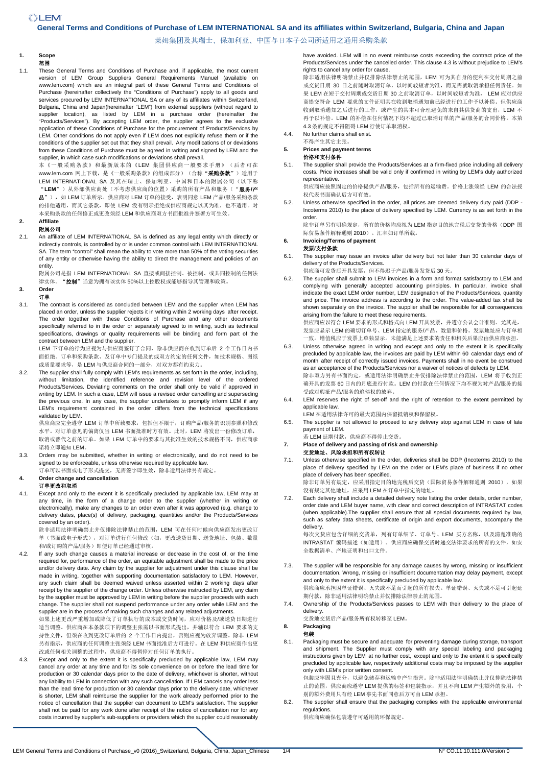# **General Terms and Conditions of Purchase of LEM INTERNATIONAL SA and its affiliates within Switzerland, Bulgaria, China and Japan**

莱姆集团及其瑞士、保加利亚、中国与日本子公司所适用之通用采购条款

#### **1. Scope**  范围

1.1. These General Terms and Conditions of Purchase and, if applicable, the most current version of LEM Group Suppliers General Requirements Manuel (available on www.lem.com) which are an integral part of these General Terms and Conditions of Purchase (hereinafter collectively the "Conditions of Purchase") apply to all goods and services procured by LEM INTERNATIONAL SA or any of its affiliates within Switzerland, Bulgaria, China and Japan(hereinafter "LEM") from external suppliers (without regard to supplier location), as listed by LEM in a purchase order (hereinafter the "Products/Services"). By accepting LEM order, the supplier agrees to the exclusive application of these Conditions of Purchase for the procurement of Products/Services by LEM. Other conditions do not apply even if LEM does not explicitly refuse them or if the conditions of the supplier set out that they shall prevail. Any modifications of or deviations from these Conditions of Purchase must be agreed in writing and signed by LEM and the supplier, in which case such modifications or deviations shall prevail.

本《一般采购条款》和最新版本的《LEM 集团供应商一般要求手册》(后者可在 www.lem.com 网上下载, 是《一般采购条款》的组成部分)(合称"采购条款")适用于 LEM INTERNATIONAL SA 及其在瑞士、保加利亚、中国和日本的附属公司(以下称 "**LEM**")从外部供应商处(不考虑供应商的位置)采购的所有产品和服务("服务**/**产 品"), 如 LEM 订单所示。供应商对 LEM 订单的接受, 表明同意 LEM 产品/服务采购条款 的排他适用,而其它条款,即使 LEM 没有明示拒绝或供应商规定以其为准,也不适用。对 本采购条款的任何修正或更改须经 LEM 和供应商双方书面批准并签署方可生效。

# **2. Affiliate**

### 附属公司

2.1. An affiliate of LEM INTERNATIONAL SA is defined as any legal entity which directly or indirectly controls, is controlled by or is under common control with LEM INTERNATIONAL SA. The term "control" shall mean the ability to vote more than 50% of the voting securities of any entity or otherwise having the ability to direct the management and policies of an entity.

附属公司是指 LEM INTERNATIONAL SA 直接或间接控制、被控制、或共同控制的任何法 律实体。"控制"当意为拥有该实体 50%以上控股权或能够指导其管理和政策。

# **3. Order**

- 订单
- 3.1. The contract is considered as concluded between LEM and the supplier when LEM has placed an order, unless the supplier rejects it in writing within 2 working days after receipt. The order together with these Conditions of Purchase and any other documents specifically referred to in the order or separately agreed to in writing, such as technical specifications, drawings or quality requirements will be binding and form part of the contract between LEM and the supplier.

LEM 下订单的行为应视为与供应商签订了合同,除非供应商在收到订单后 2 个工作日内书 面拒绝。订单和采购条款、及订单中专门提及的或双方约定的任何文件,如技术规格、图纸 或质量要求等,是 LEM 与供应商合同的一部分,对双方都有约束力。

3.2. The supplier shall fully comply with LEM's requirements as set forth in the order, including, without limitation, the identified reference and revision level of the ordered Products/Services. Deviating comments on the order shall only be valid if approved in writing by LEM. In such a case, LEM will issue a revised order cancelling and superseding the previous one. In any case, the supplier undertakes to promptly inform LEM if any LEM's requirement contained in the order differs from the technical specifications validated by LEM.

供应商应完全遵守 LEM 订单中所载要求,包括但不限于,订购产品/服务的识别参照和修改 水平。对订单意见的偏离仅当 LEM 书面批准时方有效。此时,LEM 将发出一份修改订单, 取消或替代之前的订单。如果 LEM 订单中的要求与其批准生效的技术规格不同,供应商承 诺将立即通知 LEM。

3.3. Orders may be submitted, whether in writing or electronically, and do not need to be signed to be enforceable, unless otherwise required by applicable law.

订单可以书面或电子形式提交,无需签字即生效,除非适用法律另有规定。 **4. Order change and cancellation** 

# 订单更改和取消

4.1. Except and only to the extent it is specifically precluded by applicable law, LEM may at any time, in the form of a change order to the supplier (whether in writing or electronically), make any changes to an order even after it was approved (e.g. change to delivery dates, place(s) of delivery, packaging, quantities and/or the Products/Services covered by an order).

除非适用法律明确禁止并仅排除法律禁止的范围,LEM 可在任何时候向供应商发出更改订 单(书面或电子形式),对订单进行任何修改(如,更改送货日期、送货地址、包装、数量 和/或订购的产品/服务)即便订单已经通过审核。

4.2. If any such change causes a material increase or decrease in the cost of, or the time required for, performance of the order, an equitable adjustment shall be made to the price and/or delivery date. Any claim by the supplier for adjustment under this clause shall be made in writing, together with supporting documentation satisfactory to LEM. However, any such claim shall be deemed waived unless asserted within 2 working days after receipt by the supplier of the change order. Unless otherwise instructed by LEM, any claim by the supplier must be approved by LEM in writing before the supplier proceeds with such change. The supplier shall not suspend performance under any order while LEM and the supplier are in the process of making such changes and any related adjustments.

如果上述更改严重增加或降低了订单执行的成本或交货时间,应对价格及/或送货日期进行 适当调整。供应商在本条款项下的调整主张需以书面形式提出,并辅以符合 LEM 要求的支 持性文件,但须在收到更改订单后的 2 个工作日内提出,否则应视为放弃调整。除非 LEM 另有指示,供应商的任何调整主张须经 LEM 书面批准后方可进行。在 LEM 和供应商作出更 改或任何相关调整的过程中,供应商不得暂停对任何订单的执行。

4.3. Except and only to the extent it is specifically precluded by applicable law, LEM may cancel any order at any time and for its sole convenience on or before the lead time for production or 30 calendar days prior to the date of delivery, whichever is shorter, without any liability to LEM in connection with any such cancellation. If LEM cancels any order less than the lead time for production or 30 calendar days prior to the delivery date, whichever is shorter, LEM shall reimburse the supplier for the work already performed prior to the notice of cancellation that the supplier can document to LEM's satisfaction. The supplier shall not be paid for any work done after receipt of the notice of cancellation nor for any costs incurred by supplier's sub-suppliers or providers which the supplier could reasonably

have avoided. LEM will in no event reimburse costs exceeding the contract price of the Products/Services under the cancelled order. This clause 4.3 is without prejudice to LEM's rights to cancel any order for cause.

除非适用法律明确禁止并仅排除法律禁止的范围,LEM 可为其自身的便利在交付周期之前 或交货日期 30 日之前随时取消订单,以时间较短者为准,而无需就取消承担任何责任。如 果 LEM 在短于交付周期或交货日期 30 之前取消订单,以时间较短者为准, LEM 应对供应 商提交符合 LEM 要求的文件证明其在收到取消通知前已经进行的工作予以补偿。但供应商 收到取消通知之后进行的工作,或产生的其本可合理避免的来自其供货商的支出,LEM 不 再予以补偿。LEM 的补偿在任何情况下均不超过已取消订单的产品/服务的合同价格。本第 4.3 条的规定不得阻碍 LEM 行使订单取消权。

4.4. No further claims shall exist.

#### 不得产生其它主张。 **5. Prices and payment terms**

# 价格和支付条件

5.1. The supplier shall provide the Products/Services at a firm-fixed price including all delivery costs. Price increases shall be valid only if confirmed in writing by LEM's duly authorized representative.

供应商应按照固定的价格提供产品/服务,包括所有的运输费。价格上涨须经 LEM 的合法授 权代表书面确认后方可有效。

5.2. Unless otherwise specified in the order, all prices are deemed delivery duty paid (DDP - Incoterms 2010) to the place of delivery specified by LEM. Currency is as set forth in the order.

除非订单另有明确规定,所有的价格均应视为 LEM 指定目的地完税后交货的价格(DDP 国 际贸易条件解释通则 2010)。汇率如订单所载。

#### **6. Invoicing/Terms of payment**  发票**/**支付条款

- 6.1. The supplier may issue an invoice after delivery but not later than 30 calendar days of delivery of the Products/Services.
- 供应商可发货后开具发票,但不得迟于产品/服务发货后 30 天。
- 6.2. The supplier shall submit to LEM invoices in a form and format satisfactory to LEM and complying with generally accepted accounting principles. In particular, invoice shall indicate the exact LEM order number, LEM designation of the Products/Services, quantity and price. The invoice address is according to the order. The value-added tax shall be shown separately on the invoice. The supplier shall be responsible for all consequences arising from the failure to meet these requirements.

供应商应以符合 LEM 要求的形式和格式向 LEM 开具发票,并遵守公认会计准则。尤其是, 发票应显示 LEM 的确切订单号、LEM 指定的服务/产品、数量和价格。发票地址应与订单相 一致。增值税应于发票上单独显示。未能满足上述要求的责任和相关后果应由供应商承担。

- 6.3. Unless otherwise agreed in writing and except and only to the extent it is specifically precluded by applicable law, the invoices are paid by LEM within 60 calendar days end of month after receipt of correctly issued invoices. Payments shall in no event be construed as an acceptance of the Products/Services nor a waiver of notices of defects by LEM. 除非双方另有书面约定,或适用法律明确禁止并仅排除法律禁止的范围,LEM 将于收到正 确开具的发票 60 日内的月底进行付款。LEM 的付款在任何情况下均不视为对产品/服务的接
- 受或对瑕疵产品/服务的追偿权的放弃。 6.4. LEM reserves the right of set-off and the right of retention to the extent permitted by applicable law.
	- LEM 在适用法律许可的最大范围内保留抵销权和保留权。
- 6.5. The supplier is not allowed to proceed to any delivery stop against LEM in case of late payment of LEM.
- .<br>若 LEM 延期付款, 供应商不得停止交货。 **7. Place of delivery and passing of risk and ownership**

# 交货地址、风险承担和所有权转让

7.1. Unless otherwise specified in the order, deliveries shall be DDP (Incoterms 2010) to the place of delivery specified by LEM on the order or LEM's place of business if no other place of delivery has been specified. .<br>除非订单另有规定,应采用指定目的地完税后交货(国际贸易条件解释通则 2010), 如果

没有规定其他地址,应采用 LEM 在订单中指定的地址。

Each delivery shall include a detailed delivery note listing the order details, order number, order date and LEM buyer name, with clear and correct description of INTRASTAT codes (when applicable).The supplier shall ensure that all special documents required by law, such as safety data sheets, certificate of origin and export documents, accompany the delivery.

每次交货应包含详细的交货单,列有订单细节、订单号、LEM 买方名称,以及清楚准确的 INTRASTAT 编码描述(如适用)。供应商应确保交货时递交法律要求的所有的文件,如安 全数据清单、产地证明和出口文件。

- 7.3. The supplier will be responsible for any damage causes by wrong, missing or insufficient documentation. Wrong, missing or insufficient documentation may delay payment, except and only to the extent it is specifically precluded by applicable law. 供应商应承担因单证错误、灭失或不足而引起的所有损失。单证错误、灭失或不足可引起延 期付款,除非适用法律明确禁止并仅排除法律禁止的范围。
- 7.4. Ownership of the Products/Services passes to LEM with their delivery to the place of delivery.

交货地交货后产品/服务所有权转移至 LEM。

#### **8. Packaging**  包装

8.1. Packaging must be secure and adequate for preventing damage during storage, transport and shipment. The Supplier must comply with any special labeling and packaging instructions given by LEM at no further cost, except and only to the extent it is specifically precluded by applicable law, respectively additional costs may be imposed by the supplier only with LEM's prior written consent.

包装应牢固且充分,以避免储存和运输中产生损害。除非适用法律明确禁止并仅排除法律禁 止的范围,供应商应遵守 LEM 提供的标签和包装指示,并且不向 LEM 产生额外的费用, 个 别的额外费用只有经 LEM 事先书面同意后方可由 LEM 承担。

8.2. The supplier shall ensure that the packaging complies with the applicable environmental regulations.

供应商应确保包装遵守可适用的环保规定。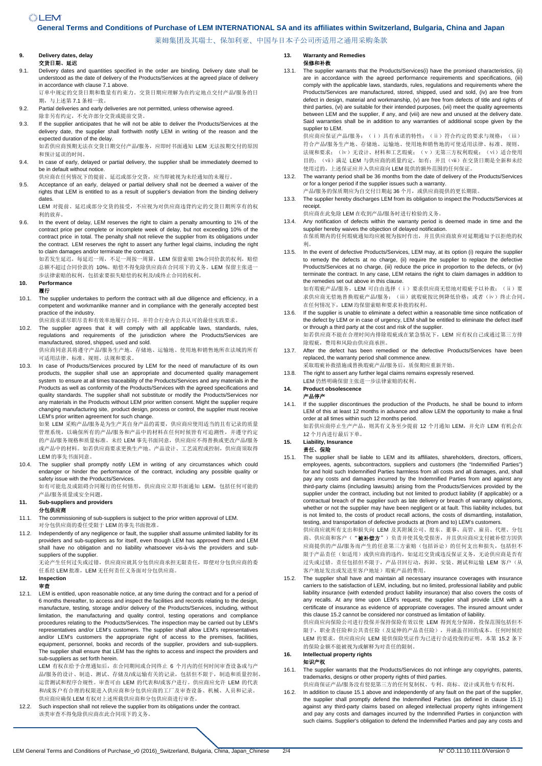# *<u> "LEM</u>*

## **General Terms and Conditions of Purchase of LEM INTERNATIONAL SA and its affiliates within Switzerland, Bulgaria, China and Japan**

莱姆集团及其瑞士、保加利亚、中国与日本子公司所适用之通用采购条款

### **9. Delivery dates, delay**  交货日期、延迟

- 9.1. Delivery dates and quantities specified in the order are binding. Delivery date shall be understood as the date of delivery of the Products/Services at the agreed place of delivery in accordance with clause 7.1 above.
- 订单中规定的交货日期和数量有约束力。交货日期应理解为在约定地点交付产品/服务的日 期,与上述第 7.1 条相一致。
- 9.2. Partial deliveries and early deliveries are not permitted, unless otherwise agreed.
- 除非另有约定,不允许部分交货或提前交货。 9.3. If the supplier anticipates that he will not be able to deliver the Products/Services at the delivery date, the supplier shall forthwith notify LEM in writing of the reason and the expected duration of the delay.

如若供应商预期无法在交货日期交付产品/服务,应即时书面通知 LEM 无法按期交付的原因 和预计延误的时间。

- 9.4. In case of early, delayed or partial delivery, the supplier shall be immediately deemed to be in default without notice.
- 供应商在任何情况下的提前、延迟或部分交货,应当即被视为未经通知的未履行。
- 9.5. Acceptance of an early, delayed or partial delivery shall not be deemed a waiver of the rights that LEM is entitled to as a result of supplier's deviation from the binding delivery dates

LEM 对提前、延迟或部分交货的接受,不应视为对供应商违背约定的交货日期所享有的权 利的放弃。

9.6. In the event of delay, LEM reserves the right to claim a penalty amounting to 1% of the contract price per complete or incomplete week of delay, but not exceeding 10% of the contract price in total. The penalty shall not relieve the supplier from its obligations under the contract. LEM reserves the right to assert any further legal claims, including the right to claim damages and/or terminate the contract.

如若发生延迟, 每延迟一周, 不足一周按一周算, LEM 保留索赔 1%合同价款的权利, 赔偿 总额不超过合同价款的 10%。赔偿不得免除供应商在合同项下的义务。LEM 保留主张进一 步法律索赔的权利,包括索要损失赔偿的权利及/或终止合同的权利。

**10. Performance** 

### 履行

10.1. The supplier undertakes to perform the contract with all due diligence and efficiency, in a competent and workmanlike manner and in compliance with the generally accepted best practice of the industry.

供应商承诺尽职尽责和有效率地履行合同,并符合行业内公共认可的最佳实践要求。

10.2. The supplier agrees that it will comply with all applicable laws, standards, rules, regulations and requirements of the jurisdiction where the Products/Services are manufactured, stored, shipped, used and sold.

供应商同意其将遵守产品/服务生产地、存储地、运输地、使用地和销售地所在法域的所有 可适用法律、标准、规则、法规和要求。

10.3. In case of Products/Services procured by LEM for the need of manufacture of its own products, the supplier shall use an appropriate and documented quality management system to ensure at all times traceability of the Products/Services and any materials in the Products as well as conformity of the Products/Services with the agreed specifications and quality standards. The supplier shall not substitute or modify the Products/Services nor any materials in the Products without LEM prior written consent. Might the supplier require changing manufacturing site, product design, process or control, the supplier must receive LEM's prior written agreement for such change.

如果 LEM 采购产品/服务是为生产其自身产品的需要,供应商应使用适当的且有记录的质量 管理系统,以确保所有的产品/服务和产品中的材料在任何时候皆有可追溯性,并遵守约定 的产品/服务规格和质量标准。未经 LEM 事先书面同意,供应商应不得替换或更改产品/服务 或产品中的材料。如若供应商要求更换生产地、产品设计、工艺流程或控制,供应商须取得 LEM 的事先书面同意。

10.4. The supplier shall promptly notify LEM in writing of any circumstances which could endanger or hinder the performance of the contract, including any possible quality or safety issue with the Products/Services

如有可能危及或阻碍合同履行的任何情形,供应商应立即书面通知 LEM,包括任何可能的 产品/服务质量或安全问题。

# **11. Sub-suppliers and providers**

### 分包供应商

- 11.1. The commissioning of sub-suppliers is subject to the prior written approval of LEM. 对分包供应商的委任受限于 LEM 的事先书面批准。
- 11.2. Independently of any negligence or fault, the supplier shall assume unlimited liability for its providers and sub-suppliers as for itself, even though LEM has approved them and LEM shall have no obligation and no liability whatsoever vis-à-vis the providers and subsuppliers of the supplier.

无论产生任何过失或过错,供应商应就其分包供应商承担无限责任,即便对分包供应商的委 任系经 LEM 批准,LEM 无任何责任义务面对分包供应商。

#### **12. Inspection**  审查

12.1. LEM is entitled, upon reasonable notice, at any time during the contract and for a period of 6 months thereafter, to access and inspect the facilities and records relating to the design, manufacture, testing, storage and/or delivery of the Products/Services, including, without limitation, the manufacturing and quality control, testing operations and compliance procedures relating to the Products/Services. The inspection may be carried out by LEM's representatives and/or LEM's customers. The supplier shall allow LEM's representatives and/or LEM's customers the appropriate right of access to the premises, facilities, equipment, personnel, books and records of the supplier, providers and sub-suppliers. The supplier shall ensure that LEM has the rights to access and inspect the providers and sub-suppliers as set forth herein.

LEM 有权在给予合理通知后,在合同期间或合同终止 6 个月内的任何时间审查设备或与产 品/服务的设计、制造、测试、存储及/或运输有关的记录,包括但不限于,制造和质量控制、 运营测试和程序合规性。审查可由 LEM 的代表和/或客户进行。供应商应允许 LEM 的代表 和/或客户有合理的权限进入供应商和分包供应商的工厂及审查设备、机械、人员和记录。 供应商应确保 LEM 有权对上述所载供应商和分包供应商进行审查。

12.2. Such inspection shall not relieve the supplier from its obligations under the contract. 该类审查不得免除供应商在此合同项下的义务。

## **13. Warranty and Remedies**

### 保修和补救

13.1. The supplier warrants that the Products/Services(i) have the promised characteristics, (ii) are in accordance with the agreed performance requirements and specifications, (iii) comply with the applicable laws, standards, rules, regulations and requirements where the Products/Services are manufactured, stored, shipped, used and sold, (iv) are free from defect in design, material and workmanship, (v) are free from defects of title and rights of third parties, (vi) are suitable for their intended purposes, (vii) meet the quality agreements between LEM and the supplier, if any, and (viii) are new and unused at the delivery date. Said warranties shall be in addition to any warranties of additional scope given by the supplier to LEM.

供应商应保证产品/服务: (i)具有承诺的特性; ( ii ) 符合约定的要求与规格; ( iii ) 符合产品/服务生产地、存储地、运输地、使用地和销售地的可使适用法律、标准、规则、 法规和要求;(iv)无设计、材料和工艺瑕疵;(v)无第三方权利瑕疵;(vi)适合使用 目的; (vii) 满足 LEM 与供应商的质量约定, 如有; 并且(üi) 在交货日期是全新和未经 使用过的。上述保证应并入供应商向 LEM 提供的额外范围的任何保证。

- 13.2. The warranty period shall be 36 months from the date of delivery of the Products/Services or for a longer period if the supplier issues such a warranty. 产品/服务的保质期应为自交付日期起 36个月,或供应商提供的更长期限。
- 13.3. The supplier hereby discharges LEM from its obligation to inspect the Products/Services at receipt.
	- 供应商在此免除 LEM 在收到产品/服务时进行检验的义务。
- 13.4. Any notification of defects within the warranty period is deemed made in time and the supplier hereby waives the objection of delayed notification. 在保质期内的任何瑕疵通知均应被视为按时作出,并且供应商放弃对延期通知予以拒绝的权
- 利。 13.5. In the event of defective Products/Services, LEM may, at its option (i) require the supplier to remedy the defects at no charge, (ii) require the supplier to replace the defective Products/Services at no charge, (iii) reduce the price in proportion to the defects, or (iv) terminate the contract. In any case, LEM retains the right to claim damages in addition to the remedies set out above in this clause. 如有瑕疵产品/服务, LEM 可自由选择(i)要求供应商无偿地对瑕疵予以补救;(ii)要 求供应商无偿地替换瑕疵产品/服务;(iii)就瑕疵按比例降低价格;或者(iv)终止合同。 在任何情况下,LEM 均保留索赔和要求补救的权利。
- 13.6. If the supplier is unable to eliminate a defect within a reasonable time since notification of the defect by LEM or in case of urgency, LEM shall be entitled to eliminate the defect itself or through a third party at the cost and risk of the supplier. 如若供应商不能在合理时间内排除瑕疵或在紧急情况下,LEM 应有权自己或通过第三方排 除瑕疵,费用和风险由供应商承担。
- 13.7. After the defect has been remedied or the defective Products/Services have been replaced, the warranty period shall commence anew.
- 采取瑕疵补救措施或替换瑕疵产品/服务后,质保期应重新开始。 13.8. The right to assert any further legal claims remains expressly reserved.
- LEM 仍然明确保留主张进一步法律索赔的权利。

#### **14. Product obsolescence**  产品停产

14.1. If the supplier discontinues the production of the Products, he shall be bound to inform LEM of this at least 12 months in advance and allow LEM the opportunity to make a final order at all times within such 12 months period.

如若供应商停止生产产品,则其有义务至少提前 12 个月通知 LEM,并允许 LEM 有机会在 12 个月内进行最后下单。

# **15. Liability, Insurance**

### 责任、保险

15.1. The supplier shall be liable to LEM and its affiliates, shareholders, directors, officers, employees, agents, subcontractors, suppliers and customers (the "Indemnified Parties") for and hold such Indemnified Parties harmless from all costs and all damages, and, shall pay any costs and damages incurred by the Indemnified Parties from and against any third-party claims (including lawsuits) arising from the Products/Services provided by the supplier under the contract, including but not limited to product liability (if applicable) or a contractual breach of the supplier such as late delivery or breach of warranty obligations, whether or not the supplier may have been negligent or at fault. This liability includes, but is not limited to, the costs of product recall actions, the costs of dismantling, installation, testing, and transportation of defective products at (from and to) LEM's customers. 供应商应就所有支出和损失向 LEM 及其附属公司、股东、董事、高管、雇员、代理、分包

商、供应商和客户("被补偿方")负责并使其免受损害,并且供应商应支付被补偿方因供 应商提供的产品/服务而产生的任意第三方索赔(包括诉讼)的任何支出和损失,包括但不 限于产品责任(如适用)或供应商的违约,如延迟交货或违反保证义务,无论供应商是否有 过失或过错。责任包括但不限于,产品召回行动,拆卸、安装、测试和运输 LEM 客户(从 客户地址发出或发送至客户地址)瑕疵产品的费用。

15.2. The supplier shall have and maintain all necessary insurance coverages with insurance carriers to the satisfaction of LEM, including, but no limited, professional liability and public liability insurance (with extended product liability insurance) that also covers the costs of any recalls. At any time upon LEM's request, the supplier shall provide LEM with a certificate of insurance as evidence of appropriate coverages. The insured amount under this clause 15.2 cannot be considered nor construed as limitation of liability. 供应商应向保险公司进行投保并保持保险有效以使 LEM 得到充分保障, 投保范围包括但不

限于,职业责任险和公共责任险(及延伸的产品责任险),并涵盖召回的成本。任何时候经 LEM 的要求,供应商应向 LEM 提供保险凭证作为已进行合适投保的证明。本第 15.2 条下 的保险金额不能被视为或解释为对责任的限制。

### **16. Intellectual property rights**  知识产权

- 16.1. The supplier warrants that the Products/Services do not infringe any copyrights, patents, trademarks, designs or other property rights of third parties.
	- 供应商保证产品/服务没有侵犯第三方的任何复制权、专利、商标、设计或其他专有权利。
- 16.2. In addition to clause 15.1 above and independently of any fault on the part of the supplier, the supplier shall promptly defend the Indemnified Parties (as defined in clause 15.1) against any third-party claims based on alleged intellectual property rights infringement and pay any costs and damages incurred by the Indemnified Parties in conjunction with such claims. Supplier's obligation to defend the Indemnified Parties and pay any costs and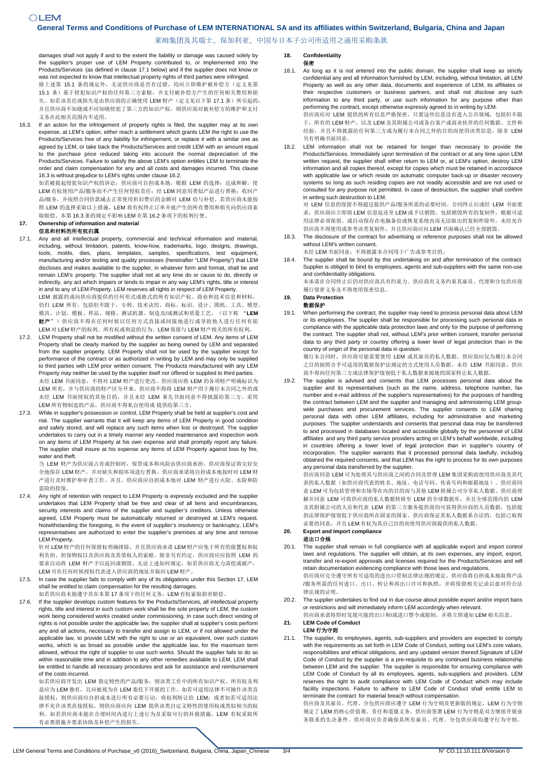# **General Terms and Conditions of Purchase of LEM INTERNATIONAL SA and its affiliates within Switzerland, Bulgaria, China and Japan**

莱姆集团及其瑞士、保加利亚、中国与日本子公司所适用之通用采购条款

damages shall not apply if and to the extent the liability or damage was caused solely by the supplier's proper use of LEM Property contributed to, or implemented into the Products/Services (as defined in clause 17.1 below) and if the supplier does not know or was not expected to know that intellectual property rights of third parties were infringed. 除上述第 15.1 条的规定外,无论供应商是否有过错,均应立即维护被补偿方(定义见第 15.1 条)基于侵犯知识产权的任何第三方索赔,并支付被补偿方产生的任何相关费用和损 失。如若该责任或损失是由供应商的正确使用 LEM 财产(定义见以下第 17.1 条)所引起的, 并且供应商不知晓或不应知晓侵犯了第三方的知识产权,则供应商对被补偿方的维护和支付 义务在此相关范围内不适用。

16.3. If an action for the infringement of property rights is filed, the supplier may at its own expense, at LEM's option, either reach a settlement which grants LEM the right to use the Products/Services free of any liability for infringement, or replace it with a similar one as agreed by LEM, or take back the Products/Services and credit LEM with an amount equal to the purchase price reduced taking into account the normal depreciation of the Products/Services. Failure to satisfy the above LEM's option entitles LEM to terminate the order and claim compensation for any and all costs and damages incurred. This clause 16.3 is without prejudice to LEM's rights under clause 16.2.

如若被提起侵犯知识产权的诉讼,供应商可自担成本地,根据 LEM 的选择: 达成和解, 使 LEM 有权使用产品/服务而不产生任何侵权责任;经 LEM 同意用类似产品进行替换;收回产 品/服务,并按照合同价款减去正常使用折旧费后的金额对 LEM 给与补偿。若供应商未能按 照 LEM 的选择采取以上措施, LEM 将有权终止订单并就产生的所有费用和损失向供应商索 取赔偿。本第 16.3 条的规定不影响 LEM 在第 16.2 条项下的权利行使。

#### **17. Ownership of information and material**  信息和材料的所有权归属

17.1. Any and all intellectual property, commercial and technical information and material, including, without limitation, patents, know-how, trademarks, logo, designs, drawings, tools, molds, dies, plans, templates, samples, specifications, test equipment, manufacturing and/or testing and quality processes (hereinafter "LEM Property") that LEM discloses and makes available to the supplier, in whatever form and format, shall be and remain LEM's property. The supplier shall not at any time do or cause to do, directly or indirectly, any act which impairs or tends to impair in any way LEM's rights, title or interest in and to any of LEM Property. LEM reserves all rights in respect of LEM Property.

LEM 披露的或向供应商提供的任何形式或格式的所有知识产权、商业和技术信息和材料, 仍归 LEM 所有,包括但不限于,专利、技术诀窍、商标、标识、设计、图纸、工具、模型、 模具、计划、模板、样品、规格、测试机器、制造及/或测试和质量工艺。(以下称 "**LEM** 财产")供应商不得在任何时候以任何方式直接或间接地进行或导致他人进行任何有损 LEM 对 LEM 财产的权利、所有权或利益的行为。LEM 保留与 LEM 财产相关的所有权利。

- 17.2. LEM Property shall not be modified without the written consent of LEM. Any items of LEM Property shall be clearly marked by the supplier as being owned by LEM and separated from the supplier property. LEM Property shall not be used by the supplier except for performance of the contract or as authorized in writing by LEM and may only be supplied to third parties with LEM prior written consent. The Products manufactured with any LEM Property may neither be used by the supplier itself nor offered or supplied to third parties. 未经 LEM 书面同意,不得对 LEM 财产进行更改。供应商应将 LEM 的各项财产明确标识为 LEM 所有,并与供应商的财产区分开来。供应商不得将 LEM 财产用于履行本合同之外的或 未经 LEM 书面授权的其他目的,并且未经 LEM 事先书面同意不得披露给第三方。采用 LEM 所有物制造的产品,供应商不得私自使用或 提供给第三方。
- 17.3. While in supplier's possession or control, LEM Property shall be held at supplier's cost and risk. The supplier warrants that it will keep any items of LEM Property in good condition and safely stored, and will replace any such items when lost or destroyed. The supplier undertakes to carry out in a timely manner any needed maintenance and inspection work on any items of LEM Property at his own expense and shall promptly report any failure. The supplier shall insure at his expense any items of LEM Property against loss by fire, water and theft.

当 LEM 财产为供应商占有或控制时,保管成本和风险由供应商承担。供应商保证将完好安 全地保存 LEM 财产,并对缺失和损坏项进行替换。供应商承诺将自担成本地按时对 LEM 财 产进行及时维护和审查工作。并且,供应商应自担成本地对 LEM 财产进行火险、水险和防 盗险的投保。

17.4. Any right of retention with respect to LEM Property is expressly excluded and the supplier undertakes that LEM Property shall be free and clear of all liens and encumbrances, security interests and claims of the supplier and supplier's creditors. Unless otherwise agreed, LEM Property must be automatically returned or destroyed at LEM's request. Notwithstanding the foregoing, in the event of supplier's insolvency or bankruptcy, LEM's representatives are authorized to enter the supplier's premises at any time and remove LEM Property.

针对 LEM 财产的任何保留权明确排除,并且供应商承诺 LEM 财产应免于所有的留置权和权 利负担、担保物权以及供应商及其债权人的索赔。除非另有约定,供应商应应按照 LEM 的 要求自动将 LEM 财产予以返回或销毁。无论上述如何规定,如若供应商无力清偿或破产, LEM 可在任何时候授权代表进入供应商的地址并取回 LEM 财产。

- 17.5. In case the supplier fails to comply with any of its obligations under this Section 17, LEM shall be entitled to claim compensation for the resulting damages. 如若供应商未能遵守其在本第 17 条项下的任何义务,LEM 有权索取损害赔偿。
- 17.6. If the supplier develops custom features for the Products/Services, all intellectual property rights, title and interest in such custom work shall be the sole property of LEM, the custom work being considered works created under commissioning. In case such direct vesting of rights is not possible under the applicable law, the supplier shall at supplier's costs perform any and all actions, necessary to transfer and assign to LEM, or if not allowed under the applicable law, to provide LEM with the right to use or an equivalent, over such custom works, which is as broad as possible under the applicable law, for the maximum term allowed, without the right of supplier to use such works. Should the supplier fails to do so within reasonable time and in addition to any other remedies available to LEM, LEM shall be entitled to handle all necessary procedures and ask for assistance and reimbursement of the costs incurred.

如若供应商开发出 LEM 指定特性的产品/服务,则该类工作中的所有知识产权、所有权及利 益应为 LEM 独有,且应被视为在 LEM 委托下开展的工作。如若可适用法律不可操作该类直 接授权,则供应商应自担成本进行所有必要行动,将权利转让给 LEM; 或者如若可适用法 律不允许该类直接授权,则供应商应向 LEM 提供该类自定义特性的使用权或类似相当的权 利。如若供应商未能在合理时间内进行上述行为及采取可行的补救措施,LEM 有权采取所 有必要措施并要求协助及补偿产生的损失。

#### **18. Confidentiality**  保密

- 18.1. As long as it is not entered into the public domain, the supplier shall keep as strictly confidential any and all information furnished by LEM, including, without limitation, all LEM Property as well as any other data, documents and experience of LEM, its affiliates or their respective customers or business partners, and shall not disclose any such information to any third party, or use such information for any purpose other than performing the contract, except otherwise expressly agreed to in writing by LEM. .<br>供应商应对 LEM 提供的所有信息严格保密, 只要这些信息没有进入公共领域, 包括但不限 于,所有的 LEM 财产,以及 LEM 及其附属公司或各自客户或商业伙伴的任何数据、文件和 经验,并且不得披露给任何第三方或为履行本合同之外的目的而使用该类信息,除非 LEM
- 另有明确书面同意。 18.2. LEM information shall not be retained for longer than necessary to provide the Products/Services. Immediately upon termination of the contract or at any time upon LEM written request, the supplier shall either return to LEM or, at LEM's option, destroy LEM information and all copies thereof, except for copies which must be retained in accordance with applicable law or which reside on automatic computer back-up or disaster recovery systems so long as such residing copies are not readily accessible and are not used or consulted for any purpose not permitted. In case of destruction, the supplier shall confirm in writing such destruction to LEM.

对 LEM 信息的保留不得超过提供产品/服务所需的必要时间。合同终止后或经 LEM 书面要 求,供应商应立即将 LEM 信息返还至 LEM 或予以销毁, 包括销毁所有的复制件, 根据可适 用法律必须保留、或自动保存在电脑备份或恢复系统内而无法取出的复制件除外,未经允许 供应商不得使用或参考该类复制件,并且供应商应向 LEM 书面确认已经全部销毁。

18.3. The disclosure of the contract for advertising or reference purposes shall not be allowed without LEM's written consent.

未经 LEM 书面同意,不得披露本合同用于广告或参考目的。

18.4. The supplier shall be bound by this undertaking on and after termination of the contract. Supplier is obliged to bind its employees, agents and sub-suppliers with the same non-use and confidentiality obligations.

本承诺在合同终止后仍对供应商具有约束力。供应商有义务约束其雇员、代理和分包供应商 履行保密义务及不得使用保密信息。

# **19. Data Protection**

### 数据保护

19.1. When performing the contract, the supplier may need to process personal data about LEM or its employees. The supplier shall be responsible for processing such personal data in compliance with the applicable data protection laws and only for the purpose of performing the contract. The supplier shall not, without LEM's prior written consent, transfer personal data to any third party or country offering a lower level of legal protection than in the country of origin of the personal data in question. 履行本合同时,供应商可能需要使用 LEM 或其雇员的私人数据。供应商应仅为履行本合同 之目的按照合乎可适用的数据保护法规定的方式使用人员数据。未经 LEM 书面同意,供应

商不得向任何第三方或法律保护级别低于私人数据来源地的国家转让私人数据。 19.2. The supplier is advised and consents that LEM processes personal data about the supplier and its representatives (such as the name, address, telephone number, fax number and e-mail address of the supplier's representatives) for the purposes of handling the contract between LEM and the supplier and managing and administering LEM groupwide purchases and procurement services. The supplier consents to LEM sharing personal data with other LEM affiliates, including for administrative and marketing purposes. The supplier understands and consents that personal data may be transferred to and processed in databases located and accessible globally by the personnel of LEM affiliates and any third party service providers acting on LEM's behalf worldwide, including in countries offering a lower level of legal protection than in supplier's country of

incorporation. The supplier warrants that it processed personal data lawfully, including obtained the required consents, and that LEM has the right to process for its own purposes any personal data transferred by the supplier. 供应商同意 LEM 可为处理其与供应商之间的合同及管理 LEM 集团采购而使用供应商及其代

表的私人数据(如供应商代表的姓名、地址、电话号码、传真号码和邮箱地址)。供应商同 意 LEM 可为包括管理和市场等在内的目的而与其他 LEM 附属公司分享私人数据。供应商理 解并同意 LEM 可将供应商的私人数据转移至 LEM 的全球数据库,并且全球范围内的 LEM 及其附属公司的人员和代表 LEM 的第三方服务提供商均可获得供应商的人员数据, 包括提 供法律保护级别低于供应商所在国家的国家。供应商保证其私人数据系合法的,包括已取得 必要的同意,并且 LEM 有权为其自己目的而使用供应商提供的私人数据。

### **20. Export and Import compliance**  进出口合规

- 20.1. The supplier shall remain in full compliance with all applicable export and import control laws and regulations. The supplier will obtain, at its own expenses, any import, export, transfer and re-export approvals and licenses required for the Products/Services and will retain documentation evidencing compliance with those laws and regulations. 供应商应完全遵守所有可适用的进出口管制法律法规的规定。供应商将自担成本地取得产品 /服务所需的任何进口、出口、转让和再出口许可和执照,并将保留相关记录以兹对符合法 律法规的证明。
- 20.2. The supplier undertakes to find out in due course about possible export and/or import bans or restrictions and will immediately inform LEM accordingly when relevant.

供应商承诺将即时发现可能的出口和/或进口禁令或限制,并将立即通知 LEM 相关信息。

#### **21. LEM Code of Conduct LEM** 行为守则

21.1. The supplier, its employees, agents, sub-suppliers and providers are expected to comply with the requirements as set forth in LEM Code of Conduct, setting out LEM's core values responsibilities and ethical obligations, and any updated version thereof.Signature of LEM Code of Conduct by the supplier is a pre-requisite to any continued business relationship between LEM and the supplier. The supplier is responsible for ensuring compliance with LEM Code of Conduct by all its employees, agents, sub-suppliers and providers. LEM reserves the right to audit compliance with LEM Code of Conduct which may include facility inspections. Failure to adhere to LEM Code of Conduct shall entitle LEM to terminate the contract for material breach without compensation.

供应商及其雇员、代理、分包供应商应遵守 LEM 行为守则及更新版的规定,LEM 行为守则 规定了 LEM 的核心价值观、责任和道德义务。供应商签署 LEM 行为守则是双方继续开展业 务联系的先决条件。供应商应负责确保其所有雇员、代理、分包供应商均遵守行为守则。